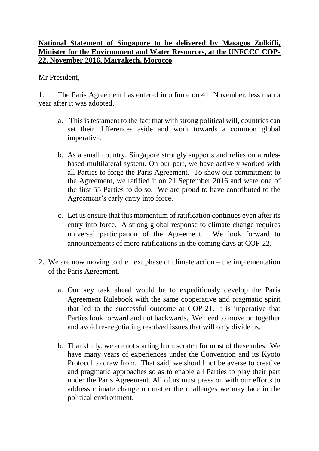## **National Statement of Singapore to be delivered by Masagos Zulkifli, Minister for the Environment and Water Resources, at the UNFCCC COP-22, November 2016, Marrakech, Morocco**

Mr President,

1. The Paris Agreement has entered into force on 4th November, less than a year after it was adopted.

- a. This is testament to the fact that with strong political will, countries can set their differences aside and work towards a common global imperative.
- b. As a small country, Singapore strongly supports and relies on a rulesbased multilateral system. On our part, we have actively worked with all Parties to forge the Paris Agreement. To show our commitment to the Agreement, we ratified it on 21 September 2016 and were one of the first 55 Parties to do so. We are proud to have contributed to the Agreement's early entry into force.
- c. Let us ensure that this momentum of ratification continues even after its entry into force. A strong global response to climate change requires universal participation of the Agreement. We look forward to announcements of more ratifications in the coming days at COP-22.
- 2. We are now moving to the next phase of climate action the implementation of the Paris Agreement.
	- a. Our key task ahead would be to expeditiously develop the Paris Agreement Rulebook with the same cooperative and pragmatic spirit that led to the successful outcome at COP-21. It is imperative that Parties look forward and not backwards. We need to move on together and avoid re-negotiating resolved issues that will only divide us.
	- b. Thankfully, we are not starting from scratch for most of these rules. We have many years of experiences under the Convention and its Kyoto Protocol to draw from. That said, we should not be averse to creative and pragmatic approaches so as to enable all Parties to play their part under the Paris Agreement. All of us must press on with our efforts to address climate change no matter the challenges we may face in the political environment.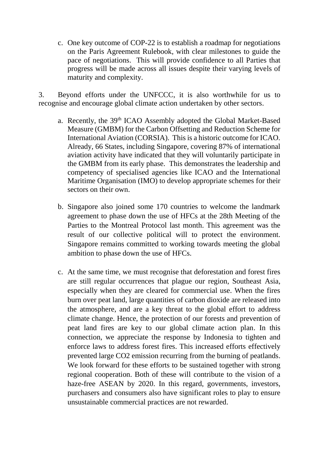c. One key outcome of COP-22 is to establish a roadmap for negotiations on the Paris Agreement Rulebook, with clear milestones to guide the pace of negotiations. This will provide confidence to all Parties that progress will be made across all issues despite their varying levels of maturity and complexity.

3. Beyond efforts under the UNFCCC, it is also worthwhile for us to recognise and encourage global climate action undertaken by other sectors.

- a. Recently, the 39<sup>th</sup> ICAO Assembly adopted the Global Market-Based Measure (GMBM) for the Carbon Offsetting and Reduction Scheme for International Aviation (CORSIA). This is a historic outcome for ICAO. Already, 66 States, including Singapore, covering 87% of international aviation activity have indicated that they will voluntarily participate in the GMBM from its early phase. This demonstrates the leadership and competency of specialised agencies like ICAO and the International Maritime Organisation (IMO) to develop appropriate schemes for their sectors on their own.
- b. Singapore also joined some 170 countries to welcome the landmark agreement to phase down the use of HFCs at the 28th Meeting of the Parties to the Montreal Protocol last month. This agreement was the result of our collective political will to protect the environment. Singapore remains committed to working towards meeting the global ambition to phase down the use of HFCs.
- c. At the same time, we must recognise that deforestation and forest fires are still regular occurrences that plague our region, Southeast Asia, especially when they are cleared for commercial use. When the fires burn over peat land, large quantities of carbon dioxide are released into the atmosphere, and are a key threat to the global effort to address climate change. Hence, the protection of our forests and prevention of peat land fires are key to our global climate action plan. In this connection, we appreciate the response by Indonesia to tighten and enforce laws to address forest fires. This increased efforts effectively prevented large CO2 emission recurring from the burning of peatlands. We look forward for these efforts to be sustained together with strong regional cooperation. Both of these will contribute to the vision of a haze-free ASEAN by 2020. In this regard, governments, investors, purchasers and consumers also have significant roles to play to ensure unsustainable commercial practices are not rewarded.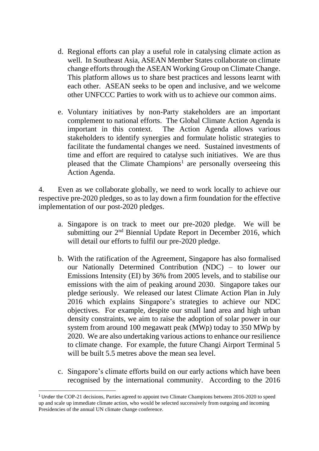- d. Regional efforts can play a useful role in catalysing climate action as well. In Southeast Asia, ASEAN Member States collaborate on climate change efforts through the ASEAN Working Group on Climate Change. This platform allows us to share best practices and lessons learnt with each other. ASEAN seeks to be open and inclusive, and we welcome other UNFCCC Parties to work with us to achieve our common aims.
- e. Voluntary initiatives by non-Party stakeholders are an important complement to national efforts. The Global Climate Action Agenda is important in this context. The Action Agenda allows various stakeholders to identify synergies and formulate holistic strategies to facilitate the fundamental changes we need. Sustained investments of time and effort are required to catalyse such initiatives. We are thus pleased that the Climate Champions<sup>1</sup> are personally overseeing this Action Agenda.

4. Even as we collaborate globally, we need to work locally to achieve our respective pre-2020 pledges, so as to lay down a firm foundation for the effective implementation of our post-2020 pledges.

- a. Singapore is on track to meet our pre-2020 pledge. We will be submitting our  $2<sup>nd</sup>$  Biennial Update Report in December 2016, which will detail our efforts to fulfil our pre-2020 pledge.
- b. With the ratification of the Agreement, Singapore has also formalised our Nationally Determined Contribution (NDC) – to lower our Emissions Intensity (EI) by 36% from 2005 levels, and to stabilise our emissions with the aim of peaking around 2030. Singapore takes our pledge seriously. We released our latest Climate Action Plan in July 2016 which explains Singapore's strategies to achieve our NDC objectives. For example, despite our small land area and high urban density constraints, we aim to raise the adoption of solar power in our system from around 100 megawatt peak (MWp) today to 350 MWp by 2020. We are also undertaking various actions to enhance our resilience to climate change. For example, the future Changi Airport Terminal 5 will be built 5.5 metres above the mean sea level.
- c. Singapore's climate efforts build on our early actions which have been recognised by the international community. According to the 2016

**.** 

<sup>1</sup> Under the COP-21 decisions, Parties agreed to appoint two Climate Champions between 2016-2020 to speed up and scale up immediate climate action, who would be selected successively from outgoing and incoming Presidencies of the annual UN climate change conference.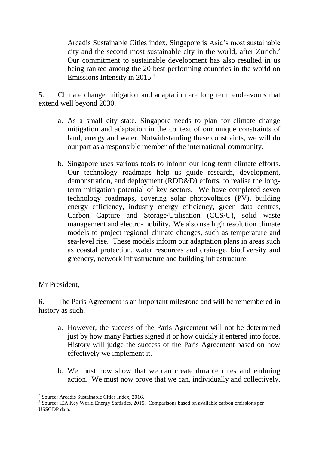Arcadis Sustainable Cities index, Singapore is Asia's most sustainable city and the second most sustainable city in the world, after Zurich. 2 Our commitment to sustainable development has also resulted in us being ranked among the 20 best-performing countries in the world on Emissions Intensity in 2015.<sup>3</sup>

5. Climate change mitigation and adaptation are long term endeavours that extend well beyond 2030.

- a. As a small city state, Singapore needs to plan for climate change mitigation and adaptation in the context of our unique constraints of land, energy and water. Notwithstanding these constraints, we will do our part as a responsible member of the international community.
- b. Singapore uses various tools to inform our long-term climate efforts. Our technology roadmaps help us guide research, development, demonstration, and deployment (RDD&D) efforts, to realise the longterm mitigation potential of key sectors. We have completed seven technology roadmaps, covering solar photovoltaics (PV), building energy efficiency, industry energy efficiency, green data centres, Carbon Capture and Storage/Utilisation (CCS/U), solid waste management and electro-mobility. We also use high resolution climate models to project regional climate changes, such as temperature and sea-level rise. These models inform our adaptation plans in areas such as coastal protection, water resources and drainage, biodiversity and greenery, network infrastructure and building infrastructure.

Mr President,

6. The Paris Agreement is an important milestone and will be remembered in history as such.

- a. However, the success of the Paris Agreement will not be determined just by how many Parties signed it or how quickly it entered into force. History will judge the success of the Paris Agreement based on how effectively we implement it.
- b. We must now show that we can create durable rules and enduring action. We must now prove that we can, individually and collectively,

<sup>1</sup> <sup>2</sup> Source: Arcadis Sustainable Cities Index, 2016.

<sup>3</sup> Source: IEA Key World Energy Statistics, 2015. Comparisons based on available carbon emissions per US\$GDP data.